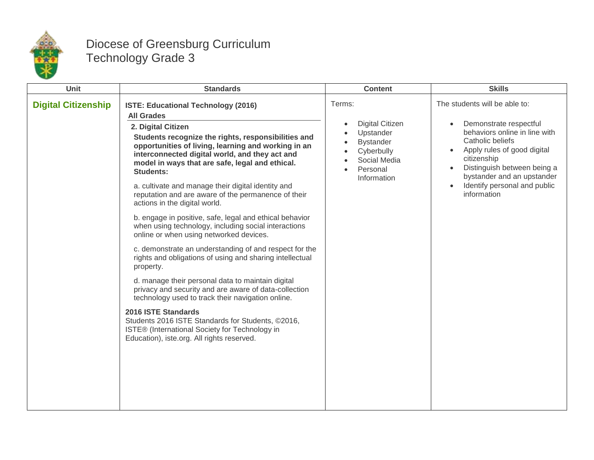

## Diocese of Greensburg Curriculum Technology Grade 3

| Unit                       | <b>Standards</b>                                                                                                                                                                                                                                                                                                                                                                                                                                                                                                                                                                                                                                                                                                                                                                                                                                                                                                                                                                                                                                                                                                    | <b>Content</b>                                                                                                             | <b>Skills</b>                                                                                                                                                                                                                                                                                                 |
|----------------------------|---------------------------------------------------------------------------------------------------------------------------------------------------------------------------------------------------------------------------------------------------------------------------------------------------------------------------------------------------------------------------------------------------------------------------------------------------------------------------------------------------------------------------------------------------------------------------------------------------------------------------------------------------------------------------------------------------------------------------------------------------------------------------------------------------------------------------------------------------------------------------------------------------------------------------------------------------------------------------------------------------------------------------------------------------------------------------------------------------------------------|----------------------------------------------------------------------------------------------------------------------------|---------------------------------------------------------------------------------------------------------------------------------------------------------------------------------------------------------------------------------------------------------------------------------------------------------------|
| <b>Digital Citizenship</b> | <b>ISTE: Educational Technology (2016)</b><br><b>All Grades</b><br>2. Digital Citizen<br>Students recognize the rights, responsibilities and<br>opportunities of living, learning and working in an<br>interconnected digital world, and they act and<br>model in ways that are safe, legal and ethical.<br>Students:<br>a. cultivate and manage their digital identity and<br>reputation and are aware of the permanence of their<br>actions in the digital world.<br>b. engage in positive, safe, legal and ethical behavior<br>when using technology, including social interactions<br>online or when using networked devices.<br>c. demonstrate an understanding of and respect for the<br>rights and obligations of using and sharing intellectual<br>property.<br>d. manage their personal data to maintain digital<br>privacy and security and are aware of data-collection<br>technology used to track their navigation online.<br>2016 ISTE Standards<br>Students 2016 ISTE Standards for Students, ©2016,<br>ISTE® (International Society for Technology in<br>Education), iste.org. All rights reserved. | Terms:<br><b>Digital Citizen</b><br>Upstander<br><b>Bystander</b><br>Cyberbully<br>Social Media<br>Personal<br>Information | The students will be able to:<br>Demonstrate respectful<br>behaviors online in line with<br>Catholic beliefs<br>Apply rules of good digital<br>$\bullet$<br>citizenship<br>Distinguish between being a<br>$\bullet$<br>bystander and an upstander<br>Identify personal and public<br>$\bullet$<br>information |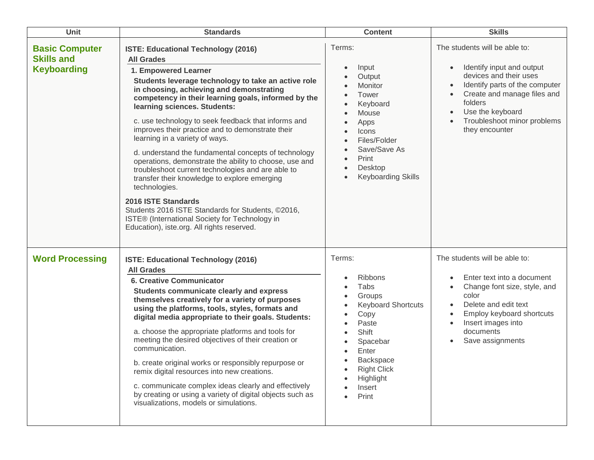| Unit                                                             | <b>Standards</b>                                                                                                                                                                                                                                                                                                                                                                                                                                                                                                                                                                                                                                                                                                                                                                                                                            | <b>Content</b>                                                                                                                                                                            | <b>Skills</b>                                                                                                                                                                                                                                                   |
|------------------------------------------------------------------|---------------------------------------------------------------------------------------------------------------------------------------------------------------------------------------------------------------------------------------------------------------------------------------------------------------------------------------------------------------------------------------------------------------------------------------------------------------------------------------------------------------------------------------------------------------------------------------------------------------------------------------------------------------------------------------------------------------------------------------------------------------------------------------------------------------------------------------------|-------------------------------------------------------------------------------------------------------------------------------------------------------------------------------------------|-----------------------------------------------------------------------------------------------------------------------------------------------------------------------------------------------------------------------------------------------------------------|
| <b>Basic Computer</b><br><b>Skills and</b><br><b>Keyboarding</b> | ISTE: Educational Technology (2016)<br><b>All Grades</b><br>1. Empowered Learner<br>Students leverage technology to take an active role<br>in choosing, achieving and demonstrating<br>competency in their learning goals, informed by the<br>learning sciences. Students:<br>c. use technology to seek feedback that informs and<br>improves their practice and to demonstrate their<br>learning in a variety of ways.<br>d. understand the fundamental concepts of technology<br>operations, demonstrate the ability to choose, use and<br>troubleshoot current technologies and are able to<br>transfer their knowledge to explore emerging<br>technologies.<br>2016 ISTE Standards<br>Students 2016 ISTE Standards for Students, ©2016,<br>ISTE® (International Society for Technology in<br>Education), iste.org. All rights reserved. | Terms:<br>Input<br>Output<br>Monitor<br>Tower<br>Keyboard<br>Mouse<br>Apps<br>Icons<br>Files/Folder<br>Save/Save As<br>Print<br>Desktop<br>$\bullet$<br><b>Keyboarding Skills</b>         | The students will be able to:<br>Identify input and output<br>devices and their uses<br>Identify parts of the computer<br>$\bullet$<br>Create and manage files and<br>folders<br>Use the keyboard<br>$\bullet$<br>Troubleshoot minor problems<br>they encounter |
| <b>Word Processing</b>                                           | <b>ISTE: Educational Technology (2016)</b><br><b>All Grades</b><br><b>6. Creative Communicator</b><br><b>Students communicate clearly and express</b><br>themselves creatively for a variety of purposes<br>using the platforms, tools, styles, formats and<br>digital media appropriate to their goals. Students:<br>a. choose the appropriate platforms and tools for<br>meeting the desired objectives of their creation or<br>communication.<br>b. create original works or responsibly repurpose or<br>remix digital resources into new creations.<br>c. communicate complex ideas clearly and effectively<br>by creating or using a variety of digital objects such as<br>visualizations, models or simulations.                                                                                                                      | Terms:<br><b>Ribbons</b><br>Tabs<br>Groups<br><b>Keyboard Shortcuts</b><br>Copy<br>Paste<br>Shift<br>Spacebar<br>Enter<br>Backspace<br><b>Right Click</b><br>Highlight<br>Insert<br>Print | The students will be able to:<br>Enter text into a document<br>Change font size, style, and<br>color<br>Delete and edit text<br>$\bullet$<br>Employ keyboard shortcuts<br>Insert images into<br>documents<br>Save assignments                                   |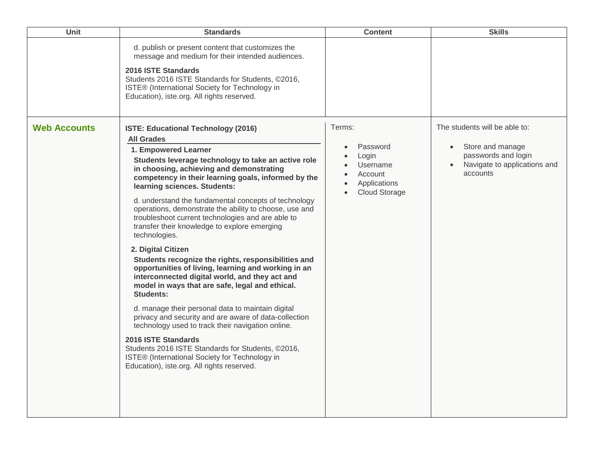| Unit                | <b>Standards</b>                                                                                                                                                                                                                                                                                                                                                                                                                                                                                                                                                                                                                                                                                                                                                                                                                                                                                                                                                                                                                                                                                                                      | <b>Content</b>                                                                             | <b>Skills</b>                                                                                                                                  |
|---------------------|---------------------------------------------------------------------------------------------------------------------------------------------------------------------------------------------------------------------------------------------------------------------------------------------------------------------------------------------------------------------------------------------------------------------------------------------------------------------------------------------------------------------------------------------------------------------------------------------------------------------------------------------------------------------------------------------------------------------------------------------------------------------------------------------------------------------------------------------------------------------------------------------------------------------------------------------------------------------------------------------------------------------------------------------------------------------------------------------------------------------------------------|--------------------------------------------------------------------------------------------|------------------------------------------------------------------------------------------------------------------------------------------------|
|                     | d. publish or present content that customizes the<br>message and medium for their intended audiences.<br>2016 ISTE Standards<br>Students 2016 ISTE Standards for Students, ©2016,<br>ISTE® (International Society for Technology in<br>Education), iste.org. All rights reserved.                                                                                                                                                                                                                                                                                                                                                                                                                                                                                                                                                                                                                                                                                                                                                                                                                                                     |                                                                                            |                                                                                                                                                |
| <b>Web Accounts</b> | <b>ISTE: Educational Technology (2016)</b><br><b>All Grades</b><br>1. Empowered Learner<br>Students leverage technology to take an active role<br>in choosing, achieving and demonstrating<br>competency in their learning goals, informed by the<br>learning sciences. Students:<br>d. understand the fundamental concepts of technology<br>operations, demonstrate the ability to choose, use and<br>troubleshoot current technologies and are able to<br>transfer their knowledge to explore emerging<br>technologies.<br>2. Digital Citizen<br>Students recognize the rights, responsibilities and<br>opportunities of living, learning and working in an<br>interconnected digital world, and they act and<br>model in ways that are safe, legal and ethical.<br><b>Students:</b><br>d. manage their personal data to maintain digital<br>privacy and security and are aware of data-collection<br>technology used to track their navigation online.<br>2016 ISTE Standards<br>Students 2016 ISTE Standards for Students, ©2016,<br>ISTE® (International Society for Technology in<br>Education), iste.org. All rights reserved. | Terms:<br>Password<br>Login<br>Username<br>Account<br>Applications<br><b>Cloud Storage</b> | The students will be able to:<br>Store and manage<br>$\bullet$<br>passwords and login<br>Navigate to applications and<br>$\bullet$<br>accounts |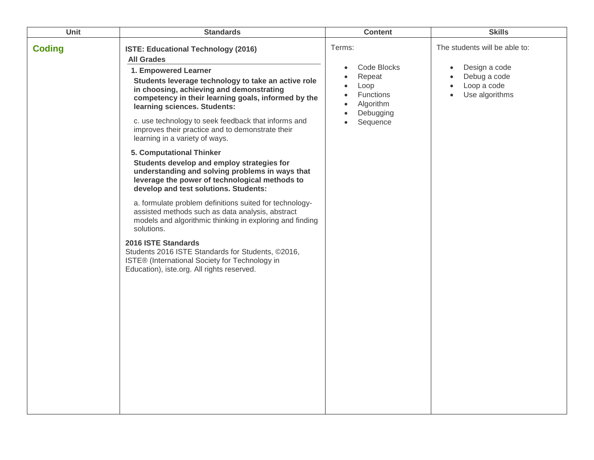| Unit          | <b>Standards</b>                                                                                                                                                                                                                                                                                                                                                                                                                                                                                                                                                                                                                                                                                                                                                                                                                                                                                                                                                                                                     | <b>Content</b>                                                                             | <b>Skills</b>                                                                                                |
|---------------|----------------------------------------------------------------------------------------------------------------------------------------------------------------------------------------------------------------------------------------------------------------------------------------------------------------------------------------------------------------------------------------------------------------------------------------------------------------------------------------------------------------------------------------------------------------------------------------------------------------------------------------------------------------------------------------------------------------------------------------------------------------------------------------------------------------------------------------------------------------------------------------------------------------------------------------------------------------------------------------------------------------------|--------------------------------------------------------------------------------------------|--------------------------------------------------------------------------------------------------------------|
| <b>Coding</b> | ISTE: Educational Technology (2016)<br><b>All Grades</b><br>1. Empowered Learner<br>Students leverage technology to take an active role<br>in choosing, achieving and demonstrating<br>competency in their learning goals, informed by the<br>learning sciences. Students:<br>c. use technology to seek feedback that informs and<br>improves their practice and to demonstrate their<br>learning in a variety of ways.<br>5. Computational Thinker<br>Students develop and employ strategies for<br>understanding and solving problems in ways that<br>leverage the power of technological methods to<br>develop and test solutions. Students:<br>a. formulate problem definitions suited for technology-<br>assisted methods such as data analysis, abstract<br>models and algorithmic thinking in exploring and finding<br>solutions.<br>2016 ISTE Standards<br>Students 2016 ISTE Standards for Students, ©2016,<br>ISTE® (International Society for Technology in<br>Education), iste.org. All rights reserved. | Terms:<br>Code Blocks<br>Repeat<br>Loop<br>Functions<br>Algorithm<br>Debugging<br>Sequence | The students will be able to:<br>Design a code<br>$\bullet$<br>Debug a code<br>Loop a code<br>Use algorithms |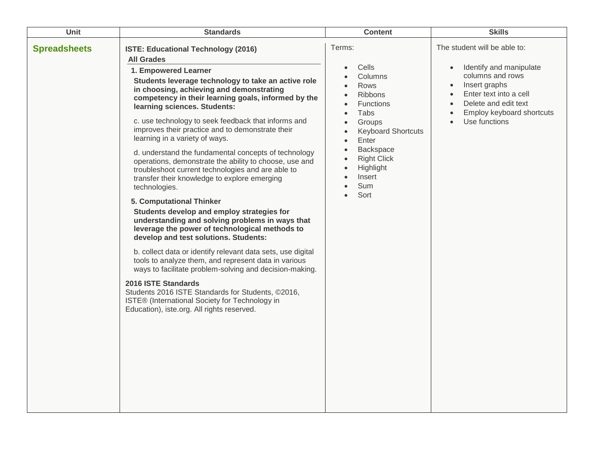| Unit                | <b>Standards</b>                                                                                                                                                                                                                                                                                                                                                                                                                                                                                                                                                                                                                                                                                                                                                                                                                                                                                                                                                                                                                                                                                                                                                                                                                                      | <b>Content</b>                                                                                                                                                                                                               | <b>Skills</b>                                                                                                                                                                                                                       |
|---------------------|-------------------------------------------------------------------------------------------------------------------------------------------------------------------------------------------------------------------------------------------------------------------------------------------------------------------------------------------------------------------------------------------------------------------------------------------------------------------------------------------------------------------------------------------------------------------------------------------------------------------------------------------------------------------------------------------------------------------------------------------------------------------------------------------------------------------------------------------------------------------------------------------------------------------------------------------------------------------------------------------------------------------------------------------------------------------------------------------------------------------------------------------------------------------------------------------------------------------------------------------------------|------------------------------------------------------------------------------------------------------------------------------------------------------------------------------------------------------------------------------|-------------------------------------------------------------------------------------------------------------------------------------------------------------------------------------------------------------------------------------|
| <b>Spreadsheets</b> | ISTE: Educational Technology (2016)<br><b>All Grades</b><br>1. Empowered Learner<br>Students leverage technology to take an active role<br>in choosing, achieving and demonstrating<br>competency in their learning goals, informed by the<br>learning sciences. Students:<br>c. use technology to seek feedback that informs and<br>improves their practice and to demonstrate their<br>learning in a variety of ways.<br>d. understand the fundamental concepts of technology<br>operations, demonstrate the ability to choose, use and<br>troubleshoot current technologies and are able to<br>transfer their knowledge to explore emerging<br>technologies.<br>5. Computational Thinker<br>Students develop and employ strategies for<br>understanding and solving problems in ways that<br>leverage the power of technological methods to<br>develop and test solutions. Students:<br>b. collect data or identify relevant data sets, use digital<br>tools to analyze them, and represent data in various<br>ways to facilitate problem-solving and decision-making.<br>2016 ISTE Standards<br>Students 2016 ISTE Standards for Students, ©2016,<br>ISTE® (International Society for Technology in<br>Education), iste.org. All rights reserved. | Terms:<br>Cells<br>Columns<br>Rows<br><b>Ribbons</b><br>$\bullet$<br>Functions<br>$\bullet$<br>Tabs<br>Groups<br><b>Keyboard Shortcuts</b><br>Enter<br>Backspace<br><b>Right Click</b><br>Highlight<br>Insert<br>Sum<br>Sort | The student will be able to:<br>Identify and manipulate<br>$\bullet$<br>columns and rows<br>Insert graphs<br>$\bullet$<br>Enter text into a cell<br>$\bullet$<br>Delete and edit text<br>Employ keyboard shortcuts<br>Use functions |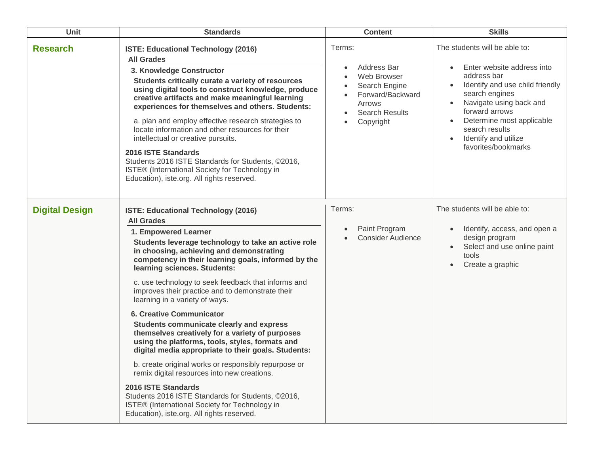| <b>Unit</b>           | <b>Standards</b>                                                                                                                                                                                                                                                                                                                                                                                                                                                                                                                                                                                                                                                                                                                                                                                                                                                                                                                                       | <b>Content</b>                                                                                                            | <b>Skills</b>                                                                                                                                                                                                                                                              |
|-----------------------|--------------------------------------------------------------------------------------------------------------------------------------------------------------------------------------------------------------------------------------------------------------------------------------------------------------------------------------------------------------------------------------------------------------------------------------------------------------------------------------------------------------------------------------------------------------------------------------------------------------------------------------------------------------------------------------------------------------------------------------------------------------------------------------------------------------------------------------------------------------------------------------------------------------------------------------------------------|---------------------------------------------------------------------------------------------------------------------------|----------------------------------------------------------------------------------------------------------------------------------------------------------------------------------------------------------------------------------------------------------------------------|
| <b>Research</b>       | ISTE: Educational Technology (2016)<br><b>All Grades</b><br>3. Knowledge Constructor<br>Students critically curate a variety of resources<br>using digital tools to construct knowledge, produce<br>creative artifacts and make meaningful learning<br>experiences for themselves and others. Students:<br>a. plan and employ effective research strategies to<br>locate information and other resources for their<br>intellectual or creative pursuits.<br>2016 ISTE Standards<br>Students 2016 ISTE Standards for Students, ©2016,<br>ISTE® (International Society for Technology in<br>Education), iste.org. All rights reserved.                                                                                                                                                                                                                                                                                                                   | Terms:<br>Address Bar<br>Web Browser<br>Search Engine<br>Forward/Backward<br>Arrows<br><b>Search Results</b><br>Copyright | The students will be able to:<br>Enter website address into<br>address bar<br>Identify and use child friendly<br>search engines<br>Navigate using back and<br>forward arrows<br>Determine most applicable<br>search results<br>Identify and utilize<br>favorites/bookmarks |
| <b>Digital Design</b> | ISTE: Educational Technology (2016)<br><b>All Grades</b><br>1. Empowered Learner<br>Students leverage technology to take an active role<br>in choosing, achieving and demonstrating<br>competency in their learning goals, informed by the<br>learning sciences. Students:<br>c. use technology to seek feedback that informs and<br>improves their practice and to demonstrate their<br>learning in a variety of ways.<br><b>6. Creative Communicator</b><br>Students communicate clearly and express<br>themselves creatively for a variety of purposes<br>using the platforms, tools, styles, formats and<br>digital media appropriate to their goals. Students:<br>b. create original works or responsibly repurpose or<br>remix digital resources into new creations.<br>2016 ISTE Standards<br>Students 2016 ISTE Standards for Students, ©2016,<br>ISTE® (International Society for Technology in<br>Education), iste.org. All rights reserved. | Terms:<br>Paint Program<br><b>Consider Audience</b>                                                                       | The students will be able to:<br>Identify, access, and open a<br>design program<br>Select and use online paint<br>tools<br>Create a graphic                                                                                                                                |